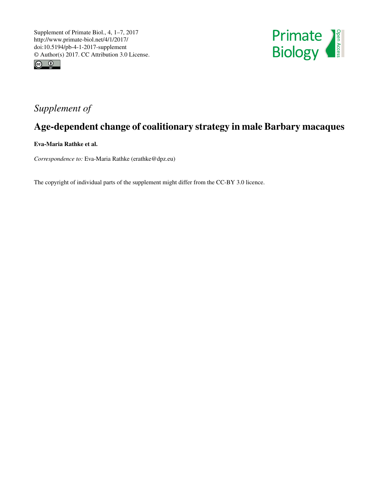



## *Supplement of*

## Age-dependent change of coalitionary strategy in male Barbary macaques

Eva-Maria Rathke et al.

*Correspondence to:* Eva-Maria Rathke (erathke@dpz.eu)

The copyright of individual parts of the supplement might differ from the CC-BY 3.0 licence.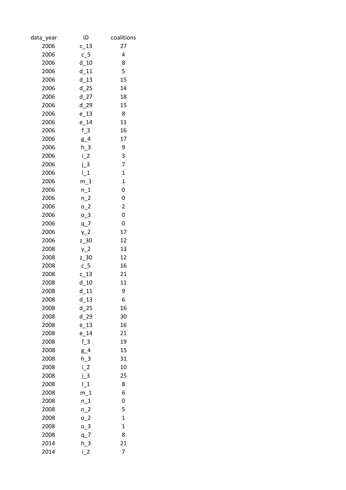| data_year | ID          | coalitions              |
|-----------|-------------|-------------------------|
| 2006      | $c_1$ 13    | 27                      |
| 2006      | $c_{5}$     | 4                       |
| 2006      | $d$ 10      | 8                       |
| 2006      | $d$ 11      | 5                       |
| 2006      | $d$ 13      | 15                      |
| 2006      | $d$ 25      | 14                      |
| 2006      | $d$ 27      | 18                      |
| 2006      | $d$ 29      | 15                      |
| 2006      | $e_13$      | 8                       |
| 2006      | $e_14$      | 11                      |
| 2006      | $f_3$       | 16                      |
| 2006      | $g_4$       | 17                      |
| 2006      | $h_3$       | 9                       |
| 2006      | $i_{2}$     | 3                       |
| 2006      | $j_3$       | 7                       |
| 2006      | $\lfloor 1$ | $\mathbf{1}$            |
| 2006      | $m_1$       | $\mathbf 1$             |
| 2006      | $n_1$       | 0                       |
| 2006      | $n_2$       | 0                       |
| 2006      | $0-2$       | $\overline{\mathbf{c}}$ |
| 2006      | $0-3$       | 0                       |
| 2006      | $q_7$       | 0                       |
| 2006      | $y_2$       | 17                      |
| 2006      | $z_{.}30$   | 12                      |
| 2008      | $y_2$       | 13                      |
| 2008      | $z$ 30      | 12                      |
| 2008      | $c_{5}$     | 16                      |
| 2008      | $c_{13}$    | 21                      |
| 2008      | $d$ 10      | 11                      |
| 2008      | d<br>11     | 9                       |
| 2008      | d_13        | 6                       |
| 2008      | $d$ 25      | 16                      |
| 2008      | d 29        | 30                      |
| 2008      | $e$ 13      | 16                      |
| 2008      | $e_1$ 14    | 21                      |
| 2008      | $f_3$       | 19                      |
| 2008      | $g_4$       | 15                      |
| 2008      | $h_3$       | 31                      |
| 2008      | $i_{2}$     | 10                      |
| 2008      | $j_3$       | 25                      |
| 2008      | $\lfloor 1$ | 8                       |
| 2008      | $m_1$       | 6                       |
| 2008      | $n_1$       | 0                       |
| 2008      | $n_2$       | 5                       |
| 2008      | $0-2$       | $\mathbf 1$             |
| 2008      | $0-3$       | $\mathbf 1$             |
| 2008      | $q-$        | 8                       |
| 2014      | $h_3$       | 21                      |
| 2014      | $i_{2}$     | 7                       |
|           |             |                         |